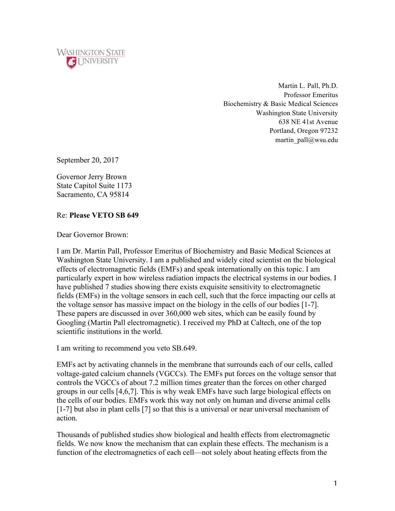

Martin L. Pall, Ph.D. Professor Emeritus Biochemistry & Basic Medical Sciences Washington State University 638 NE 41st Avenue Portland, Oregon 97232 martin\_pall@wsu.edu

September 20, 2017

Governor Jerry Brown State Capitol Suite 1173 Sacramento, CA 95814

## Re: **Please VETO SB 649**

Dear Governor Brown:

I am Dr. Martin Pall, Professor Emeritus of Biochemistry and Basic Medical Sciences at Washington State University. I am a published and widely cited scientist on the biological effects of electromagnetic fields (EMFs) and speak internationally on this topic. I am particularly expert in how wireless radiation impacts the electrical systems in our bodies. I have published 7 studies showing there exists exquisite sensitivity to electromagnetic fields (EMFs) in the voltage sensors in each cell, such that the force impacting our cells at the voltage sensor has massive impact on the biology in the cells of our bodies [1-7]. These papers are discussed in over 360,000 web sites, which can be easily found by Googling (Martin Pall electromagnetic). I received my PhD at Caltech, one of the top scientific institutions in the world.

I am writing to recommend you veto SB.649.

EMFs act by activating channels in the membrane that surrounds each of our cells, called voltage-gated calcium channels (VGCCs). The EMFs put forces on the voltage sensor that controls the VGCCs of about 7.2 million times greater than the forces on other charged groups in our cells [4,6,7]. This is why weak EMFs have such large biological effects on the cells of our bodies. EMFs work this way not only on human and diverse animal cells [1-7] but also in plant cells [7] so that this is a universal or near universal mechanism of action.

Thousands of published studies show biological and health effects from electromagnetic fields. We now know the mechanism that can explain these effects. The mechanism is a function of the electromagnetics of each cell—not solely about heating effects from the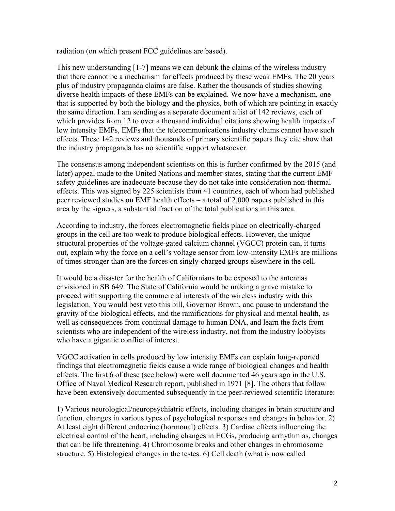radiation (on which present FCC guidelines are based).

This new understanding [1-7] means we can debunk the claims of the wireless industry that there cannot be a mechanism for effects produced by these weak EMFs. The 20 years plus of industry propaganda claims are false. Rather the thousands of studies showing diverse health impacts of these EMFs can be explained. We now have a mechanism, one that is supported by both the biology and the physics, both of which are pointing in exactly the same direction. I am sending as a separate document a list of 142 reviews, each of which provides from 12 to over a thousand individual citations showing health impacts of low intensity EMFs, EMFs that the telecommunications industry claims cannot have such effects. These 142 reviews and thousands of primary scientific papers they cite show that the industry propaganda has no scientific support whatsoever.

The consensus among independent scientists on this is further confirmed by the 2015 (and later) appeal made to the United Nations and member states, stating that the current EMF safety guidelines are inadequate because they do not take into consideration non-thermal effects. This was signed by 225 scientists from 41 countries, each of whom had published peer reviewed studies on EMF health effects – a total of 2,000 papers published in this area by the signers, a substantial fraction of the total publications in this area.

According to industry, the forces electromagnetic fields place on electrically-charged groups in the cell are too weak to produce biological effects. However, the unique structural properties of the voltage-gated calcium channel (VGCC) protein can, it turns out, explain why the force on a cell's voltage sensor from low-intensity EMFs are millions of times stronger than are the forces on singly-charged groups elsewhere in the cell.

It would be a disaster for the health of Californians to be exposed to the antennas envisioned in SB 649. The State of California would be making a grave mistake to proceed with supporting the commercial interests of the wireless industry with this legislation. You would best veto this bill, Governor Brown, and pause to understand the gravity of the biological effects, and the ramifications for physical and mental health, as well as consequences from continual damage to human DNA, and learn the facts from scientists who are independent of the wireless industry, not from the industry lobbyists who have a gigantic conflict of interest.

VGCC activation in cells produced by low intensity EMFs can explain long-reported findings that electromagnetic fields cause a wide range of biological changes and health effects. The first 6 of these (see below) were well documented 46 years ago in the U.S. Office of Naval Medical Research report, published in 1971 [8]. The others that follow have been extensively documented subsequently in the peer-reviewed scientific literature:

1) Various neurological/neuropsychiatric effects, including changes in brain structure and function, changes in various types of psychological responses and changes in behavior. 2) At least eight different endocrine (hormonal) effects. 3) Cardiac effects influencing the electrical control of the heart, including changes in ECGs, producing arrhythmias, changes that can be life threatening. 4) Chromosome breaks and other changes in chromosome structure. 5) Histological changes in the testes. 6) Cell death (what is now called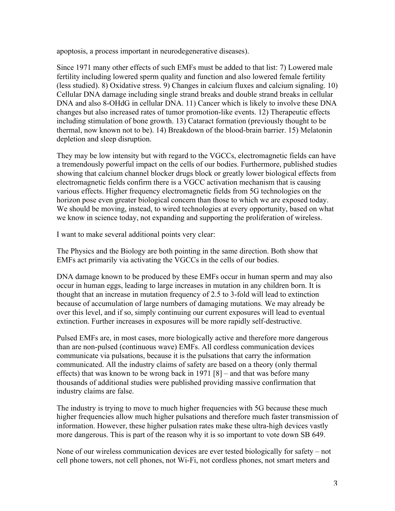apoptosis, a process important in neurodegenerative diseases).

Since 1971 many other effects of such EMFs must be added to that list: 7) Lowered male fertility including lowered sperm quality and function and also lowered female fertility (less studied). 8) Oxidative stress. 9) Changes in calcium fluxes and calcium signaling. 10) Cellular DNA damage including single strand breaks and double strand breaks in cellular DNA and also 8-OHdG in cellular DNA. 11) Cancer which is likely to involve these DNA changes but also increased rates of tumor promotion-like events. 12) Therapeutic effects including stimulation of bone growth. 13) Cataract formation (previously thought to be thermal, now known not to be). 14) Breakdown of the blood-brain barrier. 15) Melatonin depletion and sleep disruption.

They may be low intensity but with regard to the VGCCs, electromagnetic fields can have a tremendously powerful impact on the cells of our bodies. Furthermore, published studies showing that calcium channel blocker drugs block or greatly lower biological effects from electromagnetic fields confirm there is a VGCC activation mechanism that is causing various effects. Higher frequency electromagnetic fields from 5G technologies on the horizon pose even greater biological concern than those to which we are exposed today. We should be moving, instead, to wired technologies at every opportunity, based on what we know in science today, not expanding and supporting the proliferation of wireless.

I want to make several additional points very clear:

The Physics and the Biology are both pointing in the same direction. Both show that EMFs act primarily via activating the VGCCs in the cells of our bodies.

DNA damage known to be produced by these EMFs occur in human sperm and may also occur in human eggs, leading to large increases in mutation in any children born. It is thought that an increase in mutation frequency of 2.5 to 3-fold will lead to extinction because of accumulation of large numbers of damaging mutations. We may already be over this level, and if so, simply continuing our current exposures will lead to eventual extinction. Further increases in exposures will be more rapidly self-destructive.

Pulsed EMFs are, in most cases, more biologically active and therefore more dangerous than are non-pulsed (continuous wave) EMFs. All cordless communication devices communicate via pulsations, because it is the pulsations that carry the information communicated. All the industry claims of safety are based on a theory (only thermal effects) that was known to be wrong back in 1971 [8] – and that was before many thousands of additional studies were published providing massive confirmation that industry claims are false.

The industry is trying to move to much higher frequencies with 5G because these much higher frequencies allow much higher pulsations and therefore much faster transmission of information. However, these higher pulsation rates make these ultra-high devices vastly more dangerous. This is part of the reason why it is so important to vote down SB 649.

None of our wireless communication devices are ever tested biologically for safety – not cell phone towers, not cell phones, not Wi-Fi, not cordless phones, not smart meters and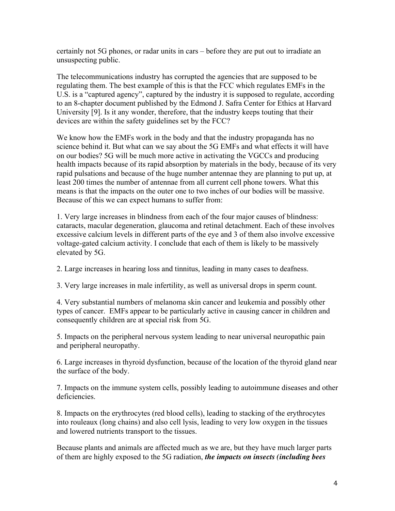certainly not 5G phones, or radar units in cars – before they are put out to irradiate an unsuspecting public.

The telecommunications industry has corrupted the agencies that are supposed to be regulating them. The best example of this is that the FCC which regulates EMFs in the U.S. is a "captured agency", captured by the industry it is supposed to regulate, according to an 8-chapter document published by the Edmond J. Safra Center for Ethics at Harvard University [9]. Is it any wonder, therefore, that the industry keeps touting that their devices are within the safety guidelines set by the FCC?

We know how the EMFs work in the body and that the industry propaganda has no science behind it. But what can we say about the 5G EMFs and what effects it will have on our bodies? 5G will be much more active in activating the VGCCs and producing health impacts because of its rapid absorption by materials in the body, because of its very rapid pulsations and because of the huge number antennae they are planning to put up, at least 200 times the number of antennae from all current cell phone towers. What this means is that the impacts on the outer one to two inches of our bodies will be massive. Because of this we can expect humans to suffer from:

1. Very large increases in blindness from each of the four major causes of blindness: cataracts, macular degeneration, glaucoma and retinal detachment. Each of these involves excessive calcium levels in different parts of the eye and 3 of them also involve excessive voltage-gated calcium activity. I conclude that each of them is likely to be massively elevated by 5G.

2. Large increases in hearing loss and tinnitus, leading in many cases to deafness.

3. Very large increases in male infertility, as well as universal drops in sperm count.

4. Very substantial numbers of melanoma skin cancer and leukemia and possibly other types of cancer. EMFs appear to be particularly active in causing cancer in children and consequently children are at special risk from 5G.

5. Impacts on the peripheral nervous system leading to near universal neuropathic pain and peripheral neuropathy.

6. Large increases in thyroid dysfunction, because of the location of the thyroid gland near the surface of the body.

7. Impacts on the immune system cells, possibly leading to autoimmune diseases and other deficiencies.

8. Impacts on the erythrocytes (red blood cells), leading to stacking of the erythrocytes into rouleaux (long chains) and also cell lysis, leading to very low oxygen in the tissues and lowered nutrients transport to the tissues.

Because plants and animals are affected much as we are, but they have much larger parts of them are highly exposed to the 5G radiation, *the impacts on insects (including bees*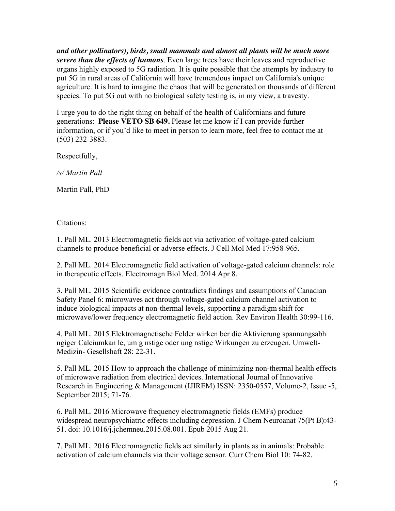*and other pollinators), birds, small mammals and almost all plants will be much more severe than the effects of humans*. Even large trees have their leaves and reproductive organs highly exposed to 5G radiation. It is quite possible that the attempts by industry to put 5G in rural areas of California will have tremendous impact on California's unique agriculture. It is hard to imagine the chaos that will be generated on thousands of different species. To put 5G out with no biological safety testing is, in my view, a travesty.

I urge you to do the right thing on behalf of the health of Californians and future generations: **Please VETO SB 649.** Please let me know if I can provide further information, or if you'd like to meet in person to learn more, feel free to contact me at (503) 232-3883.

Respectfully,

*/s/ Martin Pall*

Martin Pall, PhD

Citations:

1. Pall ML. 2013 Electromagnetic fields act via activation of voltage-gated calcium channels to produce beneficial or adverse effects. J Cell Mol Med 17:958-965.

2. Pall ML. 2014 Electromagnetic field activation of voltage-gated calcium channels: role in therapeutic effects. Electromagn Biol Med. 2014 Apr 8.

3. Pall ML. 2015 Scientific evidence contradicts findings and assumptions of Canadian Safety Panel 6: microwaves act through voltage-gated calcium channel activation to induce biological impacts at non-thermal levels, supporting a paradigm shift for microwave/lower frequency electromagnetic field action. Rev Environ Health 30:99-116.

4. Pall ML. 2015 Elektromagnetische Felder wirken ber die Aktivierung spannungsabh ngiger Calciumkan le, um g nstige oder ung nstige Wirkungen zu erzeugen. Umwelt-Medizin- Gesellshaft 28: 22-31.

5. Pall ML. 2015 How to approach the challenge of minimizing non-thermal health effects of microwave radiation from electrical devices. International Journal of Innovative Research in Engineering & Management (IJIREM) ISSN: 2350-0557, Volume-2, Issue -5, September 2015; 71-76.

6. Pall ML. 2016 Microwave frequency electromagnetic fields (EMFs) produce widespread neuropsychiatric effects including depression. J Chem Neuroanat 75(Pt B):43- 51. doi: 10.1016/j.jchemneu.2015.08.001. Epub 2015 Aug 21.

7. Pall ML. 2016 Electromagnetic fields act similarly in plants as in animals: Probable activation of calcium channels via their voltage sensor. Curr Chem Biol 10: 74-82.